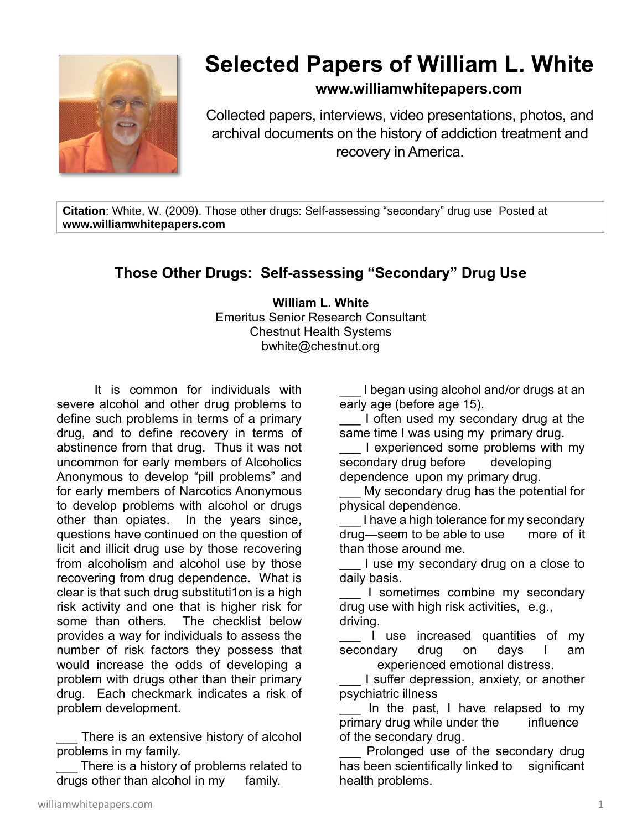

## **Selected Papers of William L. White**

## **www.williamwhitepapers.com**

Collected papers, interviews, video presentations, photos, and archival documents on the history of addiction treatment and recovery in America.

**Citation**: White, W. (2009). Those other drugs: Self-assessing "secondary" drug use Posted at **www.williamwhitepapers.com**

## **Those Other Drugs: Self-assessing "Secondary" Drug Use**

**William L. White** Emeritus Senior Research Consultant Chestnut Health Systems bwhite@chestnut.org

It is common for individuals with severe alcohol and other drug problems to define such problems in terms of a primary drug, and to define recovery in terms of abstinence from that drug. Thus it was not uncommon for early members of Alcoholics Anonymous to develop "pill problems" and for early members of Narcotics Anonymous to develop problems with alcohol or drugs other than opiates. In the years since, questions have continued on the question of licit and illicit drug use by those recovering from alcoholism and alcohol use by those recovering from drug dependence. What is clear is that such drug substituti1on is a high risk activity and one that is higher risk for some than others. The checklist below provides a way for individuals to assess the number of risk factors they possess that would increase the odds of developing a problem with drugs other than their primary drug. Each checkmark indicates a risk of problem development.

There is an extensive history of alcohol problems in my family.

There is a history of problems related to drugs other than alcohol in my family.

I began using alcohol and/or drugs at an early age (before age 15).

I often used my secondary drug at the same time I was using my primary drug.

I experienced some problems with my secondary drug before developing dependence upon my primary drug.

My secondary drug has the potential for physical dependence.

I have a high tolerance for my secondary drug—seem to be able to use more of it than those around me.

I use my secondary drug on a close to daily basis.

I sometimes combine my secondary drug use with high risk activities, e.g., driving.

I use increased quantities of my secondary drug on days I am experienced emotional distress.

I suffer depression, anxiety, or another psychiatric illness

In the past, I have relapsed to my primary drug while under the influence of the secondary drug.

Prolonged use of the secondary drug has been scientifically linked to significant health problems.